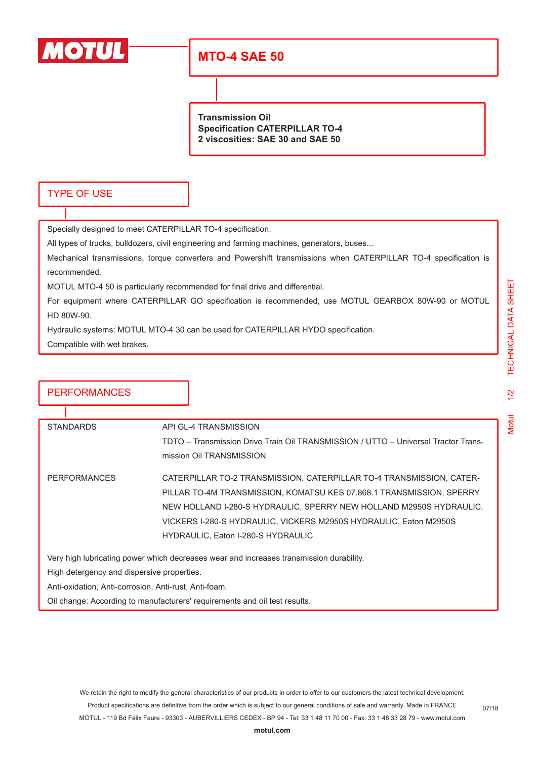

# **MTO-4 SAE 50**

**Transmission Oil Specification CATERPILLAR TO-4 2 viscosities: SAE 30 and SAE 50**

#### TYPE OF USE

Specially designed to meet CATERPILLAR TO-4 specification.

All types of trucks, bulldozers, civil engineering and farming machines, generators, buses...

Mechanical transmissions, torque converters and Powershift transmissions when CATERPILLAR TO-4 specification is recommended.

MOTUL MTO-4 50 is particularly recommended for final drive and differential.

For equipment where CATERPILLAR GO specification is recommended, use MOTUL GEARBOX 80W-90 or MOTUL HD 80W-90.

Hydraulic systems: MOTUL MTO-4 30 can be used for CATERPILLAR HYDO specification.

Compatible with wet brakes.

| <b>PERFORMANCES</b>                                                                     |                                                                                                             |                                                                      |  |  |
|-----------------------------------------------------------------------------------------|-------------------------------------------------------------------------------------------------------------|----------------------------------------------------------------------|--|--|
|                                                                                         |                                                                                                             |                                                                      |  |  |
| <b>STANDARDS</b>                                                                        | API GL-4 TRANSMISSION<br>TDTO – Transmission Drive Train Oil TRANSMISSION / UTTO – Universal Tractor Trans- |                                                                      |  |  |
|                                                                                         |                                                                                                             |                                                                      |  |  |
|                                                                                         | mission Oil TRANSMISSION                                                                                    |                                                                      |  |  |
| <b>PERFORMANCES</b>                                                                     | CATERPILLAR TO-2 TRANSMISSION, CATERPILLAR TO-4 TRANSMISSION, CATER-                                        |                                                                      |  |  |
|                                                                                         |                                                                                                             | PILLAR TO-4M TRANSMISSION, KOMATSU KES 07.868.1 TRANSMISSION, SPERRY |  |  |
|                                                                                         |                                                                                                             | NEW HOLLAND I-280-S HYDRAULIC, SPERRY NEW HOLLAND M2950S HYDRAULIC,  |  |  |
|                                                                                         |                                                                                                             | VICKERS I-280-S HYDRAULIC, VICKERS M2950S HYDRAULIC, Eaton M2950S    |  |  |
|                                                                                         |                                                                                                             | HYDRAULIC, Eaton I-280-S HYDRAULIC                                   |  |  |
| Very high lubricating power which decreases wear and increases transmission durability. |                                                                                                             |                                                                      |  |  |
| High detergency and dispersive properties.                                              |                                                                                                             |                                                                      |  |  |
| Anti-oxidation, Anti-corrosion, Anti-rust, Anti-foam.                                   |                                                                                                             |                                                                      |  |  |
| Oil change: According to manufacturers' requirements and oil test results.              |                                                                                                             |                                                                      |  |  |

We retain the right to modify the general characteristics of our products in order to offer to our customers the latest technical development. Product specifications are definitive from the order which is subject to our general conditions of sale and warranty. Made in FRANCE MOTUL - 119 Bd Félix Faure - 93303 - AUBERVILLIERS CEDEX - BP 94 - Tel: 33 1 48 11 70 00 - Fax: 33 1 48 33 28 79 - www.motul.com

**[motul.com](http://www.motul.com)**

07/18